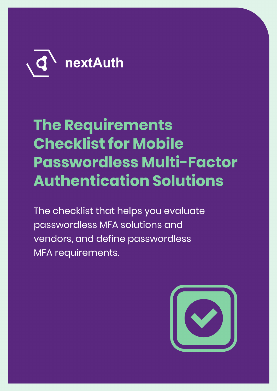

# **The Requirements Checklist for Mobile Passwordless Multi-Factor Authentication Solutions**

The checklist that helps you evaluate passwordless MFA solutions and vendors, and define passwordless MFA requirements.

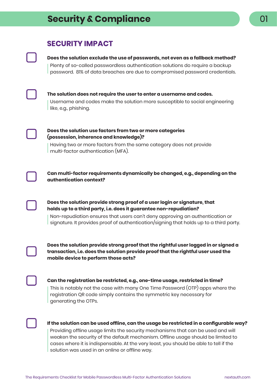# **SECURITY IMPACT**

### **Does the solution exclude the use of passwords, not even as a fallback method?**

Plenty of so-called passwordless authentication solutions do require a backup password. 81% of data breaches are due to compromised password credentials.



# **The solution does not require the user to enter a username and codes.**

Username and codes make the solution more susceptible to social engineering like, e.g., phishing.



### **Does the solution use factors from two or more categories (possession, inherence and knowledge)?**

Having two or more factors from the same category does not provide multi-factor authentication (MFA).



**Can multi-factor requirements dynamically be changed, e.g., depending on the authentication context?**

**Does the solution provide strong proof of a user login or signature, that holds up to a third party, i.e. does it guarantee non-repudiation?** 

Non-repudiation ensures that users can't deny approving an authentication or signature. It provides proof of authentication/signing that holds up to a third party.

**Does the solution provide strong proof that the rightful user logged in or signed a transaction, i.e. does the solution provide proof that the rightful user used the mobile device to perform those acts?** 

**Can the registration be restricted, e.g., one-time usage, restricted in time?** This is notably not the case with many One Time Password (OTP) apps where the registration QR code simply contains the symmetric key necessary for

generating the OTPs.



**If the solution can be used offline, can the usage be restricted in a configurable way?** Providing offline usage limits the security mechanisms that can be used and will weaken the security of the default mechanism. Offline usage should be limited to cases where it is indispensable. At the very least, you should be able to tell if the solution was used in an online or offline way.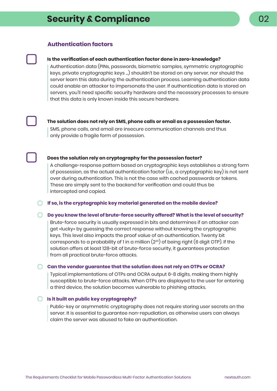### **Authentication factors**

#### **Is the verification of each authentication factor done in zero-knowledge?**

Authentication data (PINs, passwords, biometric samples, symmetric cryptographic keys, private cryptographic keys ...) shouldn't be stored on any server, nor should the server learn this data during the authentication process. Learning authentication data could enable an attacker to impersonate the user. If authentication data is stored on servers, you'll need specific security hardware and the necessary processes to ensure that this data is only known inside this secure hardware.



#### **The solution does not rely on SMS, phone calls or email as a possession factor.**

SMS, phone calls, and email are insecure communication channels and thus only provide a fragile form of possession.

#### **Does the solution rely on cryptography for the possession factor?**

A challenge-response pattern based on cryptographic keys establishes a strong form of possession, as the actual authentication factor (i.e., a cryptographic key) is not sent over during authentication. This is not the case with cached passwords or tokens. These are simply sent to the backend for verification and could thus be intercepted and copied.

**If so, is the cryptographic key material generated on the mobile device?**

#### **Do you know the level of brute-force security offered? What is the level of security?**

Brute-force security is usually expressed in bits and determines if an attacker can get «lucky» by guessing the correct response without knowing the cryptographic keys. This level also impacts the proof value of an authentication. Twenty bit corresponds to a probability of 1 in a million  $(2^{20})$  of being right (6 digit OTP). If the solution offers at least 128-bit of brute-force security, it guarantees protection from all practical brute-force attacks.

#### **Can the vendor guarantee that the solution does not rely on OTPs or OCRA?**

Typical implementations of OTPs and OCRA output 6-8 digits, making them highly susceptible to brute-force attacks. When OTPs are displayed to the user for entering a third device, the solution becomes vulnerable to phishing attacks.

### **Is it built on public key cryptography?**

Public-key or asymmetric cryptography does not require storing user secrets on the server. It is essential to guarantee non-repudiation, as otherwise users can always claim the server was abused to fake an authentication.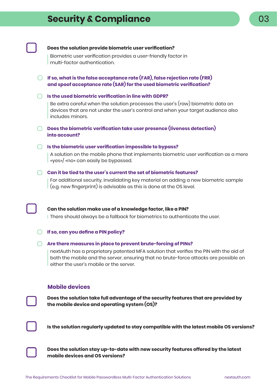# **Security & Compliance** 03

|  | Does the solution provide biometric user verification?                                                                                                                                                                             |  |  |
|--|------------------------------------------------------------------------------------------------------------------------------------------------------------------------------------------------------------------------------------|--|--|
|  | Biometric user verification provides a user-friendly factor in<br>multi-factor authentication.                                                                                                                                     |  |  |
|  | If so, what is the false acceptance rate (FAR), false rejection rate (FRR)<br>and spoof acceptance rate (SAR) for the used biometric verification?                                                                                 |  |  |
|  | Is the used biometric verification in line with GDPR?                                                                                                                                                                              |  |  |
|  | Be extra careful when the solution processes the user's (raw) biometric data on<br>devices that are not under the user's control and when your target audience also<br>includes minors.                                            |  |  |
|  | Does the biometric verification take user presence (liveness detection)<br>into account?                                                                                                                                           |  |  |
|  | Is the biometric user verification impossible to bypass?<br>A solution on the mobile phone that implements biometric user verification as a mere<br>«yes»/ «no» can easily be bypassed.                                            |  |  |
|  | Can it be tied to the user's current the set of biometric features?<br>For additional security, invalidating key material on adding a new biometric sample<br>(e.g. new fingerprint) is advisable as this is done at the OS level. |  |  |
|  | Can the solution make use of a knowledge factor, like a PIN?                                                                                                                                                                       |  |  |

I There should always be a fallback for biometrics to authenticate the user.

### **If so, can you define a PIN policy?**

### **Are there measures in place to prevent brute-forcing of PINs?**

nextAuth has a proprietary patented MFA solution that verifies the PIN with the aid of both the mobile and the server, ensuring that no brute-force attacks are possible on either the user's mobile or the server.

### **Mobile devices**

**Does the solution take full advantage of the security features that are provided by the mobile device and operating system (OS)?**



**Is the solution regularly updated to stay compatible with the latest mobile OS versions?**

**Does the solution stay up-to-date with new security features offered by the latest mobile devices and OS versions?**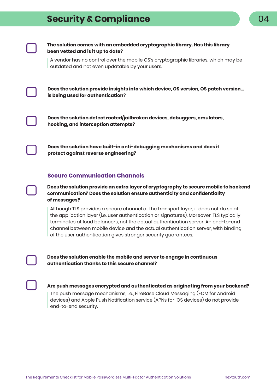# **Security & Compliance**



### **The solution comes with an embedded cryptographic library. Has this library been vetted and is it up to date?**

A vendor has no control over the mobile OS's cryptographic libraries, which may be outdated and not even updatable by your users.

**Does the solution provide insights into which device, OS version, OS patch version... is being used for authentication?**



**Does the solution detect rooted/jailbroken devices, debuggers, emulators, hooking, and interception attempts?**

**Does the solution have built-in anti-debugging mechanisms and does it protect against reverse engineering?**

### **Secure Communication Channels**

**Does the solution provide an extra layer of cryptography to secure mobile to backend communication? Does the solution ensure authenticity and confidentiality of messages?**

Although TLS provides a secure channel at the transport layer, it does not do so at the application layer (i.e. user authentication or signatures). Moreover, TLS typically terminates at load balancers, not the actual authentication server. An end-to-end channel between mobile device and the actual authentication server, with binding of the user authentication gives stronger security guarantees.



**Does the solution enable the mobile and server to engage in continuous authentication thanks to this secure channel?**



**Are push messages encrypted and authenticated as originating from your backend?**

The push message mechanisms, i.e., FireBase Cloud Messaging (FCM for Android devices) and Apple Push Notification service (APNs for iOS devices) do not provide end-to-end security.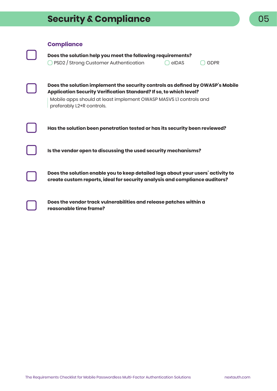# **Security & Compliance 1996 Compliance 1996 CO**

**Compliance**

◯ PSD2 / Strong Customer Authentication Q eIDAS Q GDPR

**Does the solution implement the security controls as defined by OWASP's Mobile Application Security Verification Standard? If so, to which level?**

Mobile apps should at least implement OWASP MASVS L1 controls and preferably L2+R controls.

**Has the solution been penetration tested or has its security been reviewed?**

**Is the vendor open to discussing the used security mechanisms?**

**Does the solution enable you to keep detailed logs about your users' activity to create custom reports, ideal for security analysis and compliance auditors?**

**Does the vendor track vulnerabilities and release patches within a reasonable time frame?**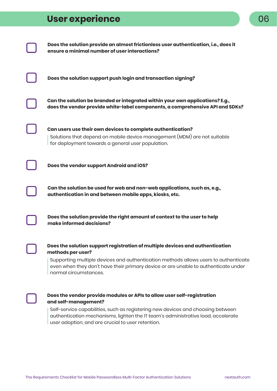# **User experience**





### **Does the vendor provide modules or APIs to allow user self-registration and self-management?**

Self-service capabilities, such as registering new devices and choosing between authentication mechanisms, lighten the IT team's administrative load, accelerate user adoption, and are crucial to user retention.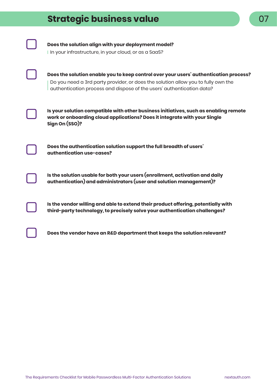# **Strategic business value**

**Does the solution align with your deployment model?**

I In your infrastructure, in your cloud, or as a SaaS?



**Does the solution enable you to keep control over your users' authentication process?** Do you need a 3rd party provider, or does the solution allow you to fully own the authentication process and dispose of the users' authentication data?



**Is your solution compatible with other business initiatives, such as enabling remote work or onboarding cloud applications? Does it integrate with your Single Sign On (SSO)?**

**Does the authentication solution support the full breadth of users' authentication use-cases?**

**Is the solution usable for both your users (enrollment, activation and daily authentication) and administrators (user and solution management)?**

**Is the vendor willing and able to extend their product offering, potentially with third-party technology, to precisely solve your authentication challenges?**

**Does the vendor have an R&D department that keeps the solution relevant?**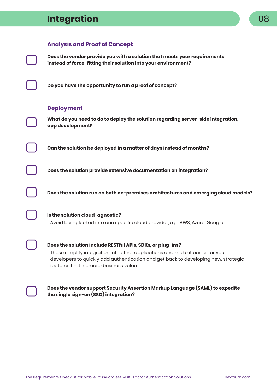# **Integration**

### **Analysis and Proof of Concept**

**Does the vendor provide you with a solution that meets your requirements, instead of force-fitting their solution into your environment?**

**Do you have the opportunity to run a proof of concept?**

### **Deployment**

**What do you need to do to deploy the solution regarding server-side integration, app development?**

**Can the solution be deployed in a matter of days instead of months?**

**Does the solution provide extensive documentation on integration?**

**Does the solution run on both on-premises architectures and emerging cloud models?**

## **Is the solution cloud-agnostic?** Avoid being locked into one specific cloud provider, e.g., AWS, Azure, Google.

#### **Does the solution include RESTful APIs, SDKs, or plug-ins?**

These simplify integration into other applications and make it easier for your developers to quickly add authentication and get back to developing new, strategic features that increase business value.

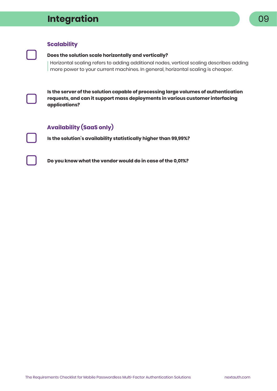# **Integration** 09

# **Scalability**

#### **Does the solution scale horizontally and vertically?**

Horizontal scaling refers to adding additional nodes, vertical scaling describes adding more power to your current machines. In general, horizontal scaling is cheaper.



**Is the server of the solution capable of processing large volumes of authentication requests, and can it support mass deployments in various customer interfacing applications?**

## **Availability (SaaS only)**

**Is the solution's availability statistically higher than 99,99%?**

**Do you know what the vendor would do in case of the 0,01%?**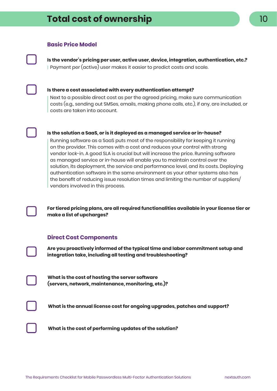### **Basic Price Model**

**Is the vendor's pricing per user, active user, device, integration, authentication, etc.?** Payment per (active) user makes it easier to predict costs and scale.



### **Is there a cost associated with every authentication attempt?**

Next to a possible direct cost as per the agreed pricing, make sure communication costs (e.g., sending out SMSes, emails, making phone calls, etc.), if any, are included, or costs are taken into account.

#### **Is the solution a SaaS, or is it deployed as a managed service or in-house?**

Running software as a SaaS puts most of the responsibility for keeping it running on the provider. This comes with a cost and reduces your control with strong vendor lock-in. A good SLA is crucial but will increase the price. Running software as managed service or in-house will enable you to maintain control over the solution, its deployment, the service and performance level, and its costs. Deploying authentication software in the same environment as your other systems also has the benefit of reducing issue resolution times and limiting the number of suppliers/ vendors involved in this process.

**For tiered pricing plans, are all required functionalities available in your license tier or make a list of upcharges?**

### **Direct Cost Components**

**Are you proactively informed of the typical time and labor commitment setup and integration take, including all testing and troubleshooting?**

**What is the cost of hosting the server software (servers, network, maintenance, monitoring, etc.)?**

**What is the annual license cost for ongoing upgrades, patches and support?**

**What is the cost of performing updates of the solution?**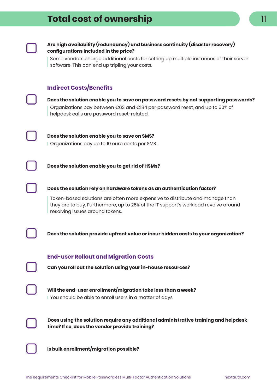

### **Are high availability (redundancy) and business continuity (disaster recovery) configurations included in the price?**

Some vendors charge additional costs for setting up multiple instances of their server software. This can end up tripling your costs.

### **Indirect Costs/Benefits**



**Does the solution enable you to save on password resets by not supporting passwords?** Organizations pay between €63 and €184 per password reset, and up to 50% of helpdesk calls are password reset-related.



**Does the solution enable you to save on SMS?** Organizations pay up to 10 euro cents per SMS.

**Does the solution enable you to get rid of HSMs?**



### **Does the solution rely on hardware tokens as an authentication factor?**

Token-based solutions are often more expensive to distribute and manage than they are to buy. Furthermore, up to 25% of the IT support's workload revolve around resolving issues around tokens.

**Does the solution provide upfront value or incur hidden costs to your organization?**



**Will the end-user enrollment/migration take less than a week?** You should be able to enroll users in a matter of days.



**Does using the solution require any additional administrative training and helpdesk time? If so, does the vendor provide training?**

**Is bulk enrollment/migration possible?**